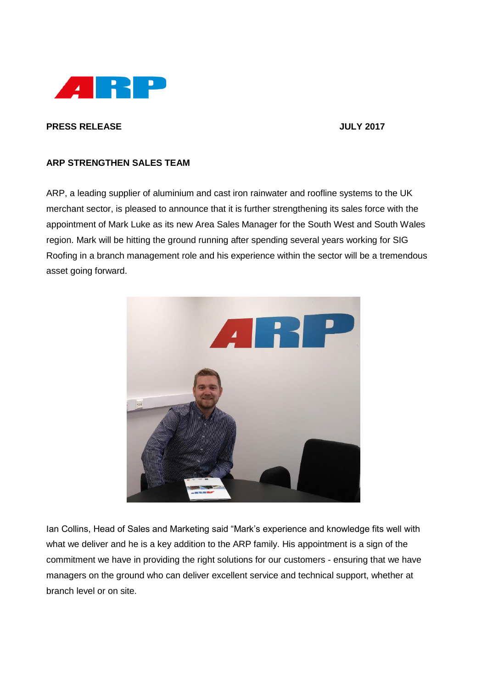

## **PRESS RELEASE JULY 2017**

## **ARP STRENGTHEN SALES TEAM**

ARP, a leading supplier of aluminium and cast iron rainwater and roofline systems to the UK merchant sector, is pleased to announce that it is further strengthening its sales force with the appointment of Mark Luke as its new Area Sales Manager for the South West and South Wales region. Mark will be hitting the ground running after spending several years working for SIG Roofing in a branch management role and his experience within the sector will be a tremendous asset going forward.



Ian Collins, Head of Sales and Marketing said "Mark's experience and knowledge fits well with what we deliver and he is a key addition to the ARP family. His appointment is a sign of the commitment we have in providing the right solutions for our customers - ensuring that we have managers on the ground who can deliver excellent service and technical support, whether at branch level or on site.